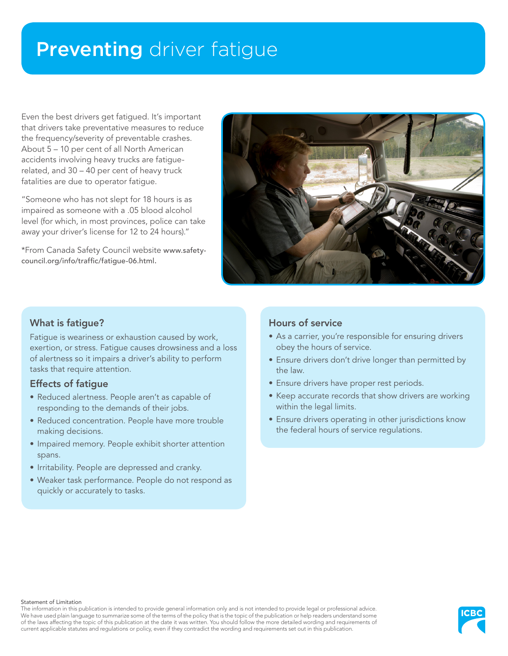# Preventing driver fatigue

Even the best drivers get fatigued. It's important that drivers take preventative measures to reduce the frequency/severity of preventable crashes. About 5 – 10 per cent of all North American accidents involving heavy trucks are fatiguerelated, and 30 – 40 per cent of heavy truck fatalities are due to operator fatigue.

"Someone who has not slept for 18 hours is as impaired as someone with a .05 blood alcohol level (for which, in most provinces, police can take away your driver's license for 12 to 24 hours)."

\*From Canada Safety Council website www.safetycouncil.org/info/traffic/fatigue-06.html.



## What is fatigue?

Fatigue is weariness or exhaustion caused by work, exertion, or stress. Fatigue causes drowsiness and a loss of alertness so it impairs a driver's ability to perform tasks that require attention.

#### Effects of fatigue

- Reduced alertness. People aren't as capable of responding to the demands of their jobs.
- Reduced concentration. People have more trouble making decisions.
- Impaired memory. People exhibit shorter attention spans.
- Irritability. People are depressed and cranky.
- • Weaker task performance. People do not respond as quickly or accurately to tasks.

### Hours of service

- As a carrier, you're responsible for ensuring drivers obey the hours of service.
- Ensure drivers don't drive longer than permitted by the law.
- Ensure drivers have proper rest periods.
- Keep accurate records that show drivers are working within the legal limits.
- Ensure drivers operating in other jurisdictions know the federal hours of service regulations.

#### Statement of Limitation

The information in this publication is intended to provide general information only and is not intended to provide legal or professional advice. We have used plain language to summarize some of the terms of the policy that is the topic of the publication or help readers understand some of the laws affecting the topic of this publication at the date it was written. You should follow the more detailed wording and requirements of current applicable statutes and regulations or policy, even if they contradict the wording and requirements set out in this publication.